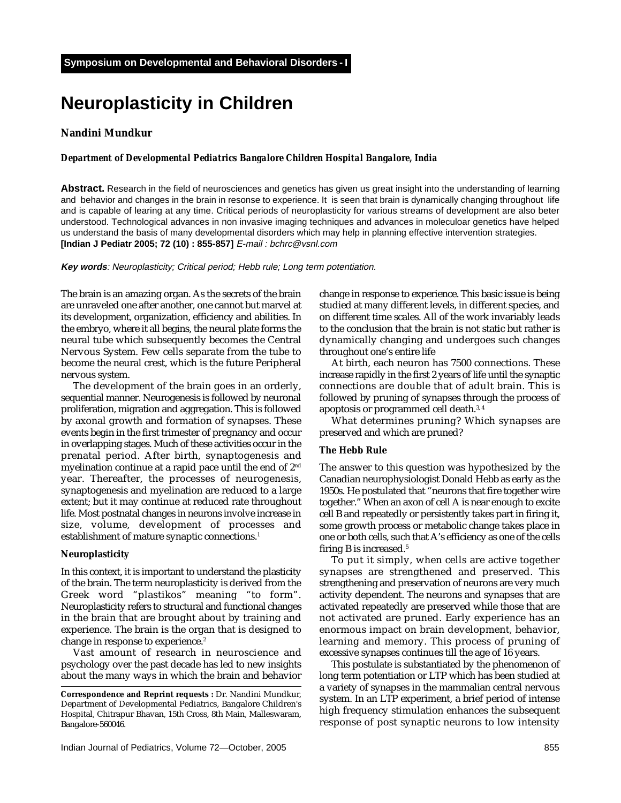# **Neuroplasticity in Children**

## **Nandini Mundkur**

*Department of Developmental Pediatrics Bangalore Children Hospital Bangalore, India*

**Abstract.** Research in the field of neurosciences and genetics has given us great insight into the understanding of learning and behavior and changes in the brain in resonse to experience. It is seen that brain is dynamically changing throughout life and is capable of learing at any time. Critical periods of neuroplasticity for various streams of development are also beter understood. Technological advances in non invasive imaging techniques and advances in moleculoar genetics have helped us understand the basis of many developmental disorders which may help in planning effective intervention strategies. **[Indian J Pediatr 2005; 72 (10) : 855-857]** E-mail : bchrc@vsnl.com

**Key words**: Neuroplasticity; Critical period; Hebb rule; Long term potentiation.

The brain is an amazing organ. As the secrets of the brain are unraveled one after another, one cannot but marvel at its development, organization, efficiency and abilities. In the embryo, where it all begins, the neural plate forms the neural tube which subsequently becomes the Central Nervous System. Few cells separate from the tube to become the neural crest, which is the future Peripheral nervous system.

The development of the brain goes in an orderly, sequential manner. Neurogenesis is followed by neuronal proliferation, migration and aggregation. This is followed by axonal growth and formation of synapses. These events begin in the first trimester of pregnancy and occur in overlapping stages. Much of these activities occur in the prenatal period. After birth, synaptogenesis and myelination continue at a rapid pace until the end of 2nd year. Thereafter, the processes of neurogenesis, synaptogenesis and myelination are reduced to a large extent; but it may continue at reduced rate throughout life. Most postnatal changes in neurons involve increase in size, volume, development of processes and establishment of mature synaptic connections.<sup>1</sup>

#### **Neuroplasticity**

In this context, it is important to understand the plasticity of the brain. The term neuroplasticity is derived from the Greek word "plastikos" meaning "to form". Neuroplasticity refers to structural and functional changes in the brain that are brought about by training and experience. The brain is the organ that is designed to change in response to experience.<sup>2</sup>

Vast amount of research in neuroscience and psychology over the past decade has led to new insights about the many ways in which the brain and behavior

Indian Journal of Pediatrics, Volume 72—October, 2005 855

change in response to experience. This basic issue is being studied at many different levels, in different species, and on different time scales. All of the work invariably leads to the conclusion that the brain is not static but rather is dynamically changing and undergoes such changes throughout one's entire life

At birth, each neuron has 7500 connections. These increase rapidly in the first 2 years of life until the synaptic connections are double that of adult brain. This is followed by pruning of synapses through the process of apoptosis or programmed cell death.3, 4

What determines pruning? Which synapses are preserved and which are pruned?

#### **The Hebb Rule**

The answer to this question was hypothesized by the Canadian neurophysiologist Donald Hebb as early as the 1950s. He postulated that "neurons that fire together wire together." When an axon of cell A is near enough to excite cell B and repeatedly or persistently takes part in firing it, some growth process or metabolic change takes place in one or both cells, such that A's efficiency as one of the cells firing B is increased.<sup>5</sup>

To put it simply, when cells are active together synapses are strengthened and preserved. This strengthening and preservation of neurons are very much activity dependent. The neurons and synapses that are activated repeatedly are preserved while those that are not activated are pruned. Early experience has an enormous impact on brain development, behavior, learning and memory. This process of pruning of excessive synapses continues till the age of 16 years.

This postulate is substantiated by the phenomenon of long term potentiation or LTP which has been studied at a variety of synapses in the mammalian central nervous system. In an LTP experiment, a brief period of intense high frequency stimulation enhances the subsequent response of post synaptic neurons to low intensity

**Correspondence and Reprint requests :** Dr. Nandini Mundkur, Department of Developmental Pediatrics, Bangalore Children's Hospital, Chitrapur Bhavan, 15th Cross, 8th Main, Malleswaram, Bangalore-560046.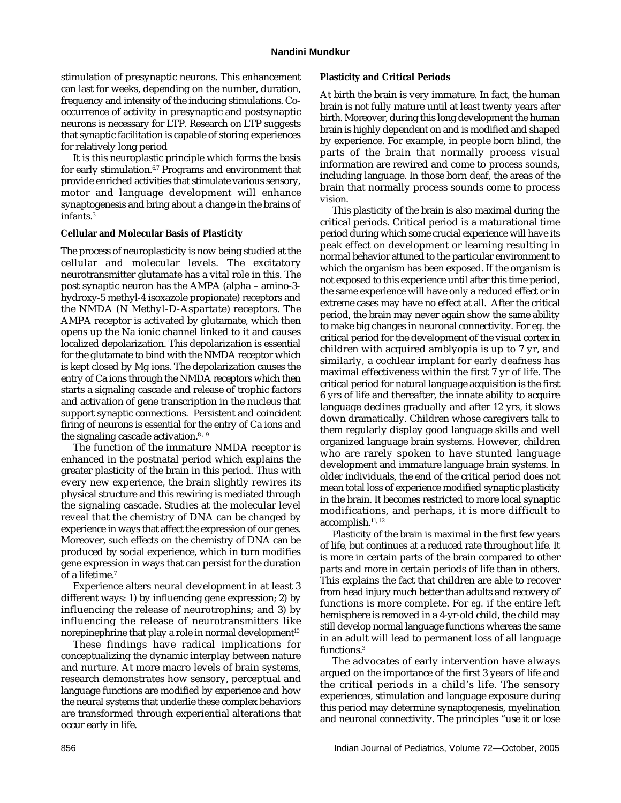stimulation of presynaptic neurons. This enhancement can last for weeks, depending on the number, duration, frequency and intensity of the inducing stimulations. Cooccurrence of activity in presynaptic and postsynaptic neurons is necessary for LTP. Research on LTP suggests that synaptic facilitation is capable of storing experiences for relatively long period

It is this neuroplastic principle which forms the basis for early stimulation.6,7 Programs and environment that provide enriched activities that stimulate various sensory, motor and language development will enhance synaptogenesis and bring about a change in the brains of infants.3

#### **Cellular and Molecular Basis of Plasticity**

The process of neuroplasticity is now being studied at the cellular and molecular levels. The excitatory neurotransmitter glutamate has a vital role in this. The post synaptic neuron has the AMPA (alpha – amino-3 hydroxy-5 methyl-4 isoxazole propionate) receptors and the NMDA (N Methyl-D-Aspartate) receptors. The AMPA receptor is activated by glutamate, which then opens up the Na ionic channel linked to it and causes localized depolarization. This depolarization is essential for the glutamate to bind with the NMDA receptor which is kept closed by Mg ions. The depolarization causes the entry of Ca ions through the NMDA receptors which then starts a signaling cascade and release of trophic factors and activation of gene transcription in the nucleus that support synaptic connections. Persistent and coincident firing of neurons is essential for the entry of Ca ions and the signaling cascade activation. $8, 9$ 

The function of the immature NMDA receptor is enhanced in the postnatal period which explains the greater plasticity of the brain in this period. Thus with every new experience, the brain slightly rewires its physical structure and this rewiring is mediated through the signaling cascade. Studies at the molecular level reveal that the chemistry of DNA can be changed by experience in ways that affect the expression of our genes. Moreover, such effects on the chemistry of DNA can be produced by social experience, which in turn modifies gene expression in ways that can persist for the duration of a lifetime.<sup>7</sup>

Experience alters neural development in at least 3 different ways: 1) by influencing gene expression; 2) by influencing the release of neurotrophins; and 3) by influencing the release of neurotransmitters like norepinephrine that play a role in normal development<sup>10</sup>

These findings have radical implications for conceptualizing the dynamic interplay between nature and nurture. At more macro levels of brain systems, research demonstrates how sensory, perceptual and language functions are modified by experience and how the neural systems that underlie these complex behaviors are transformed through experiential alterations that occur early in life.

#### **Plasticity and Critical Periods**

At birth the brain is very immature. In fact, the human brain is not fully mature until at least twenty years after birth. Moreover, during this long development the human brain is highly dependent on and is modified and shaped by experience. For example, in people born blind, the parts of the brain that normally process visual information are rewired and come to process sounds, including language. In those born deaf, the areas of the brain that normally process sounds come to process vision.

This plasticity of the brain is also maximal during the critical periods. Critical period is a maturational time period during which some crucial experience will have its peak effect on development or learning resulting in normal behavior attuned to the particular environment to which the organism has been exposed. If the organism is not exposed to this experience until after this time period, the same experience will have only a reduced effect or in extreme cases may have no effect at all. After the critical period, the brain may never again show the same ability to make big changes in neuronal connectivity. For eg. the critical period for the development of the visual cortex in children with acquired amblyopia is up to 7 yr, and similarly, a cochlear implant for early deafness has maximal effectiveness within the first 7 yr of life. The critical period for natural language acquisition is the first 6 yrs of life and thereafter, the innate ability to acquire language declines gradually and after 12 yrs, it slows down dramatically. Children whose caregivers talk to them regularly display good language skills and well organized language brain systems. However, children who are rarely spoken to have stunted language development and immature language brain systems. In older individuals, the end of the critical period does not mean total loss of experience modified synaptic plasticity in the brain. It becomes restricted to more local synaptic modifications, and perhaps, it is more difficult to  $accomplish.<sup>11, 12</sup>$ 

Plasticity of the brain is maximal in the first few years of life, but continues at a reduced rate throughout life. It is more in certain parts of the brain compared to other parts and more in certain periods of life than in others. This explains the fact that children are able to recover from head injury much better than adults and recovery of functions is more complete. For *eg.* if the entire left hemisphere is removed in a 4-yr-old child, the child may still develop normal language functions whereas the same in an adult will lead to permanent loss of all language functions.3

The advocates of early intervention have always argued on the importance of the first 3 years of life and the critical periods in a child's life. The sensory experiences, stimulation and language exposure during this period may determine synaptogenesis, myelination and neuronal connectivity. The principles "use it or lose